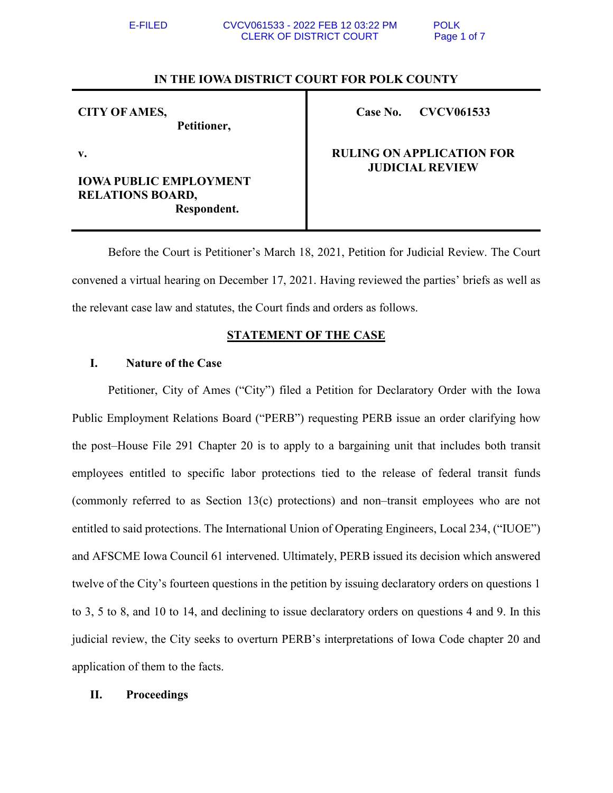## **IN THE IOWA DISTRICT COURT FOR POLK COUNTY**

| <b>CITY OF AMES,</b> |             |
|----------------------|-------------|
|                      | Petitioner, |

**Case No. CVCV061533** 

**v.** 

# **IOWA PUBLIC EMPLOYMENT RELATIONS BOARD, Respondent.**

# **RULING ON APPLICATION FOR JUDICIAL REVIEW**

 Before the Court is Petitioner's March 18, 2021, Petition for Judicial Review. The Court convened a virtual hearing on December 17, 2021. Having reviewed the parties' briefs as well as the relevant case law and statutes, the Court finds and orders as follows.

# **STATEMENT OF THE CASE**

# **I. Nature of the Case**

Petitioner, City of Ames ("City") filed a Petition for Declaratory Order with the Iowa Public Employment Relations Board ("PERB") requesting PERB issue an order clarifying how the post–House File 291 Chapter 20 is to apply to a bargaining unit that includes both transit employees entitled to specific labor protections tied to the release of federal transit funds (commonly referred to as Section 13(c) protections) and non–transit employees who are not entitled to said protections. The International Union of Operating Engineers, Local 234, ("IUOE") and AFSCME Iowa Council 61 intervened. Ultimately, PERB issued its decision which answered twelve of the City's fourteen questions in the petition by issuing declaratory orders on questions 1 to 3, 5 to 8, and 10 to 14, and declining to issue declaratory orders on questions 4 and 9. In this judicial review, the City seeks to overturn PERB's interpretations of Iowa Code chapter 20 and application of them to the facts.

## **II. Proceedings**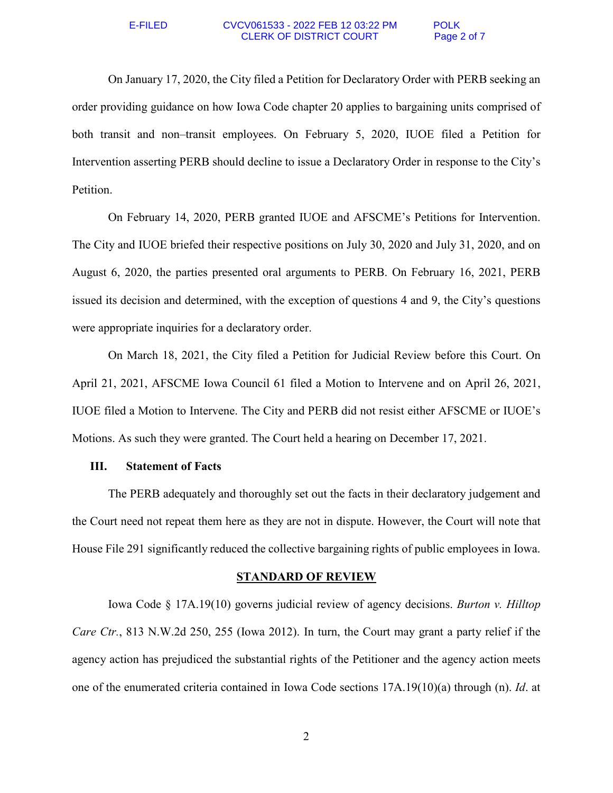#### E-FILED CVCV061533 - 2022 FEB 12 03:22 PM POLK CLERK OF DISTRICT COURT Page 2 of 7

On January 17, 2020, the City filed a Petition for Declaratory Order with PERB seeking an order providing guidance on how Iowa Code chapter 20 applies to bargaining units comprised of both transit and non–transit employees. On February 5, 2020, IUOE filed a Petition for Intervention asserting PERB should decline to issue a Declaratory Order in response to the City's Petition.

On February 14, 2020, PERB granted IUOE and AFSCME's Petitions for Intervention. The City and IUOE briefed their respective positions on July 30, 2020 and July 31, 2020, and on August 6, 2020, the parties presented oral arguments to PERB. On February 16, 2021, PERB issued its decision and determined, with the exception of questions 4 and 9, the City's questions were appropriate inquiries for a declaratory order.

On March 18, 2021, the City filed a Petition for Judicial Review before this Court. On April 21, 2021, AFSCME Iowa Council 61 filed a Motion to Intervene and on April 26, 2021, IUOE filed a Motion to Intervene. The City and PERB did not resist either AFSCME or IUOE's Motions. As such they were granted. The Court held a hearing on December 17, 2021.

## **III. Statement of Facts**

The PERB adequately and thoroughly set out the facts in their declaratory judgement and the Court need not repeat them here as they are not in dispute. However, the Court will note that House File 291 significantly reduced the collective bargaining rights of public employees in Iowa.

### **STANDARD OF REVIEW**

 Iowa Code § 17A.19(10) governs judicial review of agency decisions. *Burton v. Hilltop Care Ctr.*, 813 N.W.2d 250, 255 (Iowa 2012). In turn, the Court may grant a party relief if the agency action has prejudiced the substantial rights of the Petitioner and the agency action meets one of the enumerated criteria contained in Iowa Code sections 17A.19(10)(a) through (n). *Id*. at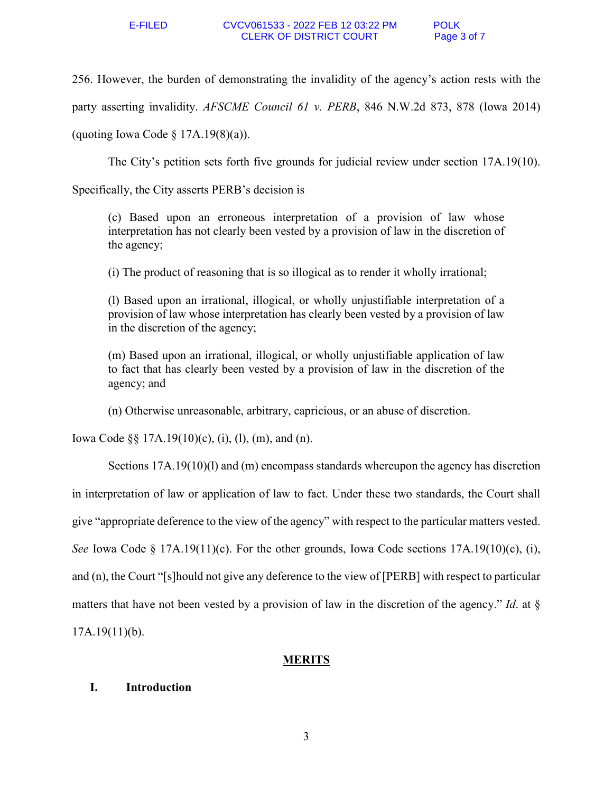256. However, the burden of demonstrating the invalidity of the agency's action rests with the

party asserting invalidity. *AFSCME Council 61 v. PERB*, 846 N.W.2d 873, 878 (Iowa 2014)

(quoting Iowa Code  $\S$  17A.19(8)(a)).

The City's petition sets forth five grounds for judicial review under section 17A.19(10).

Specifically, the City asserts PERB's decision is

(c) Based upon an erroneous interpretation of a provision of law whose interpretation has not clearly been vested by a provision of law in the discretion of the agency;

(i) The product of reasoning that is so illogical as to render it wholly irrational;

(l) Based upon an irrational, illogical, or wholly unjustifiable interpretation of a provision of law whose interpretation has clearly been vested by a provision of law in the discretion of the agency;

(m) Based upon an irrational, illogical, or wholly unjustifiable application of law to fact that has clearly been vested by a provision of law in the discretion of the agency; and

(n) Otherwise unreasonable, arbitrary, capricious, or an abuse of discretion.

Iowa Code  $\S$ § 17A.19(10)(c), (i), (l), (m), and (n).

Sections 17A.19(10)(l) and (m) encompass standards whereupon the agency has discretion in interpretation of law or application of law to fact. Under these two standards, the Court shall give "appropriate deference to the view of the agency" with respect to the particular matters vested. *See* Iowa Code § 17A.19(11)(c). For the other grounds, Iowa Code sections 17A.19(10)(c), (i), and (n), the Court "[s]hould not give any deference to the view of [PERB] with respect to particular matters that have not been vested by a provision of law in the discretion of the agency." *Id*. at §  $17A.19(11)(b)$ .

## **MERITS**

## **I. Introduction**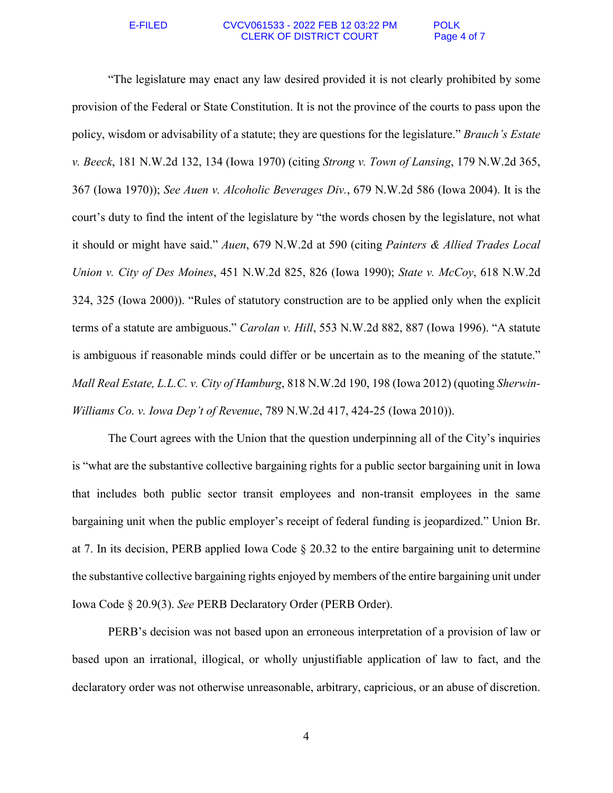#### E-FILED CVCV061533 - 2022 FEB 12 03:22 PM POLK CLERK OF DISTRICT COURT Page 4 of 7

"The legislature may enact any law desired provided it is not clearly prohibited by some provision of the Federal or State Constitution. It is not the province of the courts to pass upon the policy, wisdom or advisability of a statute; they are questions for the legislature." *Brauch's Estate v. Beeck*, 181 N.W.2d 132, 134 (Iowa 1970) (citing *Strong v. Town of Lansing*, 179 N.W.2d 365, 367 (Iowa 1970)); *See Auen v. Alcoholic Beverages Div.*, 679 N.W.2d 586 (Iowa 2004). It is the court's duty to find the intent of the legislature by "the words chosen by the legislature, not what it should or might have said." *Auen*, 679 N.W.2d at 590 (citing *Painters & Allied Trades Local Union v. City of Des Moines*, 451 N.W.2d 825, 826 (Iowa 1990); *State v. McCoy*, 618 N.W.2d 324, 325 (Iowa 2000)). "Rules of statutory construction are to be applied only when the explicit terms of a statute are ambiguous." *Carolan v. Hill*, 553 N.W.2d 882, 887 (Iowa 1996). "A statute is ambiguous if reasonable minds could differ or be uncertain as to the meaning of the statute." *Mall Real Estate, L.L.C. v. City of Hamburg*, 818 N.W.2d 190, 198 (Iowa 2012) (quoting *Sherwin-Williams Co. v. Iowa Dep't of Revenue*, 789 N.W.2d 417, 424-25 (Iowa 2010)).

 The Court agrees with the Union that the question underpinning all of the City's inquiries is "what are the substantive collective bargaining rights for a public sector bargaining unit in Iowa that includes both public sector transit employees and non-transit employees in the same bargaining unit when the public employer's receipt of federal funding is jeopardized." Union Br. at 7. In its decision, PERB applied Iowa Code § 20.32 to the entire bargaining unit to determine the substantive collective bargaining rights enjoyed by members of the entire bargaining unit under Iowa Code § 20.9(3). *See* PERB Declaratory Order (PERB Order).

PERB's decision was not based upon an erroneous interpretation of a provision of law or based upon an irrational, illogical, or wholly unjustifiable application of law to fact, and the declaratory order was not otherwise unreasonable, arbitrary, capricious, or an abuse of discretion.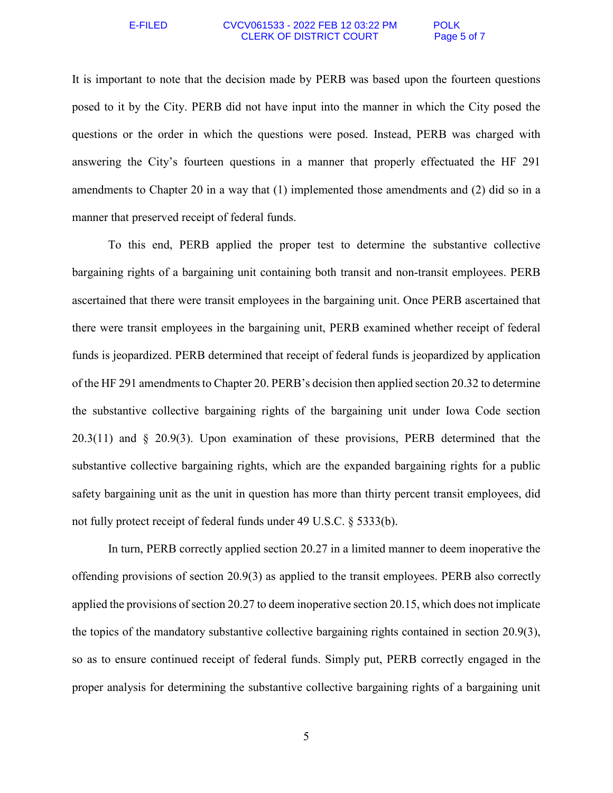#### E-FILED CVCV061533 - 2022 FEB 12 03:22 PM POLK CLERK OF DISTRICT COURT Page 5 of 7

It is important to note that the decision made by PERB was based upon the fourteen questions posed to it by the City. PERB did not have input into the manner in which the City posed the questions or the order in which the questions were posed. Instead, PERB was charged with answering the City's fourteen questions in a manner that properly effectuated the HF 291 amendments to Chapter 20 in a way that (1) implemented those amendments and (2) did so in a manner that preserved receipt of federal funds.

To this end, PERB applied the proper test to determine the substantive collective bargaining rights of a bargaining unit containing both transit and non-transit employees. PERB ascertained that there were transit employees in the bargaining unit. Once PERB ascertained that there were transit employees in the bargaining unit, PERB examined whether receipt of federal funds is jeopardized. PERB determined that receipt of federal funds is jeopardized by application of the HF 291 amendments to Chapter 20. PERB's decision then applied section 20.32 to determine the substantive collective bargaining rights of the bargaining unit under Iowa Code section 20.3(11) and § 20.9(3). Upon examination of these provisions, PERB determined that the substantive collective bargaining rights, which are the expanded bargaining rights for a public safety bargaining unit as the unit in question has more than thirty percent transit employees, did not fully protect receipt of federal funds under 49 U.S.C. § 5333(b).

In turn, PERB correctly applied section 20.27 in a limited manner to deem inoperative the offending provisions of section 20.9(3) as applied to the transit employees. PERB also correctly applied the provisions of section 20.27 to deem inoperative section 20.15, which does not implicate the topics of the mandatory substantive collective bargaining rights contained in section 20.9(3), so as to ensure continued receipt of federal funds. Simply put, PERB correctly engaged in the proper analysis for determining the substantive collective bargaining rights of a bargaining unit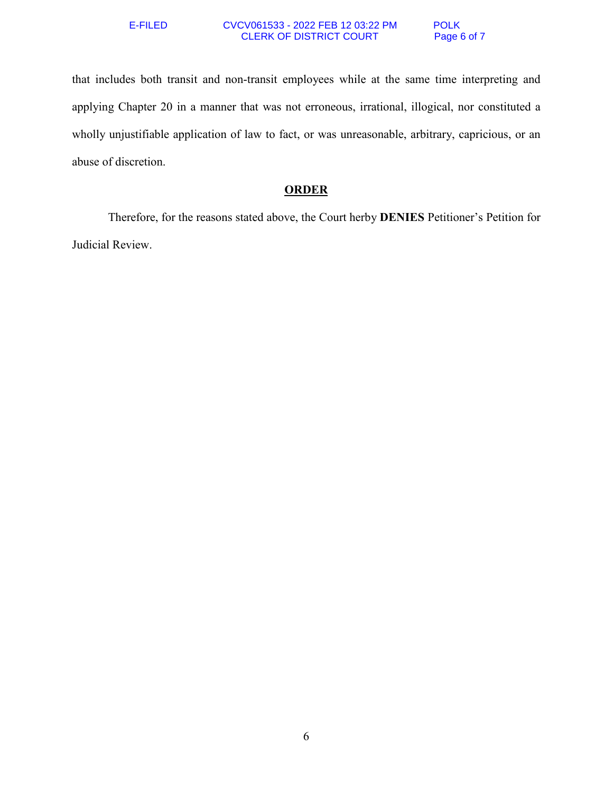#### E-FILED CVCV061533 - 2022 FEB 12 03:22 PM POLK CLERK OF DISTRICT COURT Page 6 of 7

that includes both transit and non-transit employees while at the same time interpreting and applying Chapter 20 in a manner that was not erroneous, irrational, illogical, nor constituted a wholly unjustifiable application of law to fact, or was unreasonable, arbitrary, capricious, or an abuse of discretion.

## **ORDER**

 Therefore, for the reasons stated above, the Court herby **DENIES** Petitioner's Petition for Judicial Review.